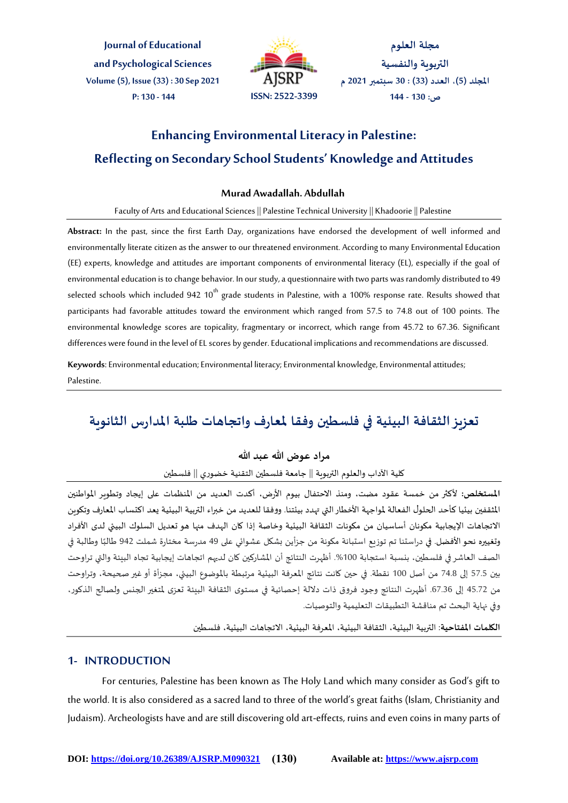**Journal of Educational and Psychological Sciences Volume (5), Issue (33) : 30 Sep 2021 P: 130 - 144 ISSN: 2522-3399**



**مجلة العلوم التربوية والنفسية املجلد )5(، العدد )33( : 30 سبتمبر 2021 م ص: 130 - 144**

# **Enhancing Environmental Literacy in Palestine: Reflecting on Secondary School Students' Knowledge and Attitudes**

### **Murad Awadallah. Abdullah**

#### Faculty of Arts and Educational Sciences || Palestine Technical University || Khadoorie || Palestine

**Abstract:** In the past, since the first Earth Day, organizations have endorsed the development of well informed and environmentally literate citizen as the answer to our threatened environment. According to many Environmental Education (EE) experts, knowledge and attitudes are important components of environmental literacy (EL), especially if the goal of environmental education is to change behavior. In our study, a questionnaire with two parts was randomly distributed to 49 selected schools which included 942  $10^{th}$  grade students in Palestine, with a 100% response rate. Results showed that participants had favorable attitudes toward the environment which ranged from 57.5 to 74.8 out of 100 points. The environmental knowledge scores are topicality, fragmentary or incorrect, which range from 45.72 to 67.36. Significant differences were found in the level of EL scores by gender. Educational implications and recommendations are discussed.

**Keywords**: Environmental education; Environmental literacy; Environmental knowledge, Environmental attitudes; Palestine.

# **تعزيز الثقافة البيئية في فلسطين وفقا ملعارف واتجاهات طلبة املدارس الثانوية**

# مراد عوض الله عب*د* الله

كلية الآداب والعلوم التربوية || جامعة فلسطين التقنية خضوري || فلسطين

الم*ستخ*لص: لأكثر من خمسة عقود مضت، ومنذ الاحتفال بيوم الأرض، أكدت العديد من المنظمات على إيجاد وتطوير المواطنين املثقفين بيئيا كأحد الحلول الفعالة ملواجهة األخطار التي تهدد بيئتنا. ووفقا للعديد من خبراء التربية البيئية يعد اكتساب املعارف وتكوين الاتجاهات الإيجابية مكونان أساسيان من مكونات الثقافة البيئية وخاصة إذا كان الهدف منها هو تعديل السلوك البيئي لدى الأفراد .<br>وتغييره نحو الأفضل. في دراستنا تم توزيع استبانة مكونة من جزأين بشكل عشوائي على 49 مدرسة مختارة شملت 942 طالبًا وطالبة في الصف العاشر في فلسطين، بنسبة استجابة 100%. أظهرت النتائج أن المشاركين كان لديهم اتجاهات إيجابية تجاه البيئة والتي تراوحت بين 57.5 إلى 74.8 من أصل 100 نقطة. في حين كانت نتائج املعرفة البيئية مرتبطة باملوضوع البيئي، مجزأة أو غير صحيحة، وتراوحت من 45.72 إلى 67.36. أظهرت النتائج وجود فروق ذات دلالة إحصائية في مستوى الثقافة البيئة تعزى لمتغير الجنس ولصالح الذكور، وفي نهاية البحث تم مناقشة التطبيقات التعليمية والتوصيات.

**الكلمات املفتاحية**: التربية البيئية، الثقافة البيئية، املعرفة البيئية، االتجاهات البيئية، فلسطين

# **1- INTRODUCTION**

For centuries, Palestine has been known as The Holy Land which many consider as God's gift to the world. It is also considered as a sacred land to three of the world's great faiths (Islam, Christianity and Judaism). Archeologists have and are still discovering old art-effects, ruins and even coins in many parts of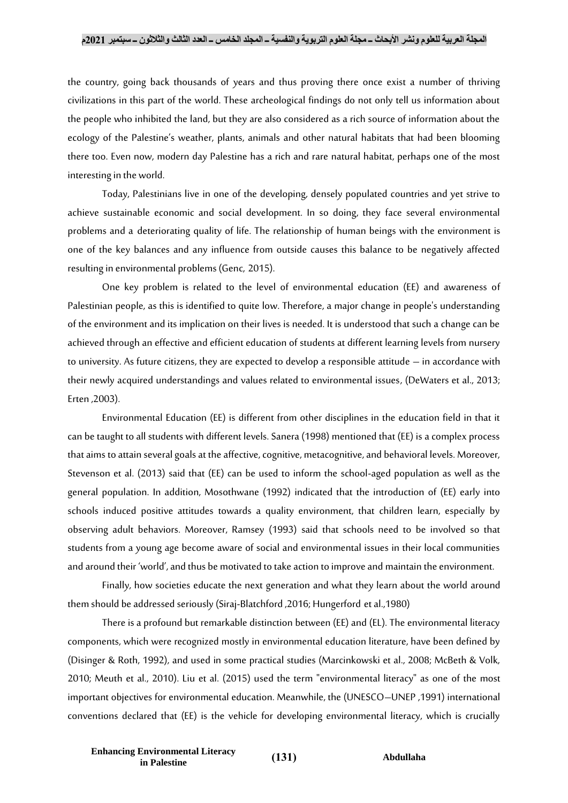#### **المجلة العربية للعلوم ونشر األبحاث ــ مجلة العلوم التربوية والنفسية ــ المجلد الخامس ــ العدد الثالث والثالثون ــ سبتمبر 2021م**

the country, going back thousands of years and thus proving there once exist a number of thriving civilizations in this part of the world. These archeological findings do not only tell us information about the people who inhibited the land, but they are also considered as a rich source of information about the ecology of the Palestine's weather, plants, animals and other natural habitats that had been blooming there too. Even now, modern day Palestine has a rich and rare natural habitat, perhaps one of the most interesting in the world.

Today, Palestinians live in one of the developing, densely populated countries and yet strive to achieve sustainable economic and social development. In so doing, they face several environmental problems and a deteriorating quality of life. The relationship of human beings with the environment is one of the key balances and any influence from outside causes this balance to be negatively affected resulting in environmental problems (Genc, 2015).

One key problem is related to the level of environmental education (EE) and awareness of Palestinian people, as this is identified to quite low. Therefore, a major change in people's understanding of the environment and its implication on their lives is needed. It is understood that such a change can be achieved through an effective and efficient education of students at different learning levels from nursery to university. As future citizens, they are expected to develop a responsible attitude – in accordance with their newly acquired understandings and values related to environmental issues, (DeWaters et al., 2013; Erten ,2003).

Environmental Education (EE) is different from other disciplines in the education field in that it can be taught to all students with different levels. Sanera (1998) mentioned that (EE) is a complex process that aims to attain several goals at the affective, cognitive, metacognitive, and behavioral levels. Moreover, Stevenson et al. (2013) said that (EE) can be used to inform the school-aged population as well as the general population. In addition, Mosothwane (1992) indicated that the introduction of (EE) early into schools induced positive attitudes towards a quality environment, that children learn, especially by observing adult behaviors. Moreover, Ramsey (1993) said that schools need to be involved so that students from a young age become aware of social and environmental issues in their local communities and around their 'world', and thus be motivated to take action to improve and maintain the environment.

Finally, how societies educate the next generation and what they learn about the world around them should be addressed seriously (Siraj-Blatchford ,2016; Hungerford et al.,1980)

There is a profound but remarkable distinction between (EE) and (EL). The environmental literacy components, which were recognized mostly in environmental education literature, have been defined by (Disinger & Roth, 1992), and used in some practical studies (Marcinkowski et al., 2008; McBeth & Volk, 2010; Meuth et al., 2010). Liu et al. (2015) used the term "environmental literacy" as one of the most important objectives for environmental education. Meanwhile, the (UNESCO–UNEP ,1991) international conventions declared that (EE) is the vehicle for developing environmental literacy, which is crucially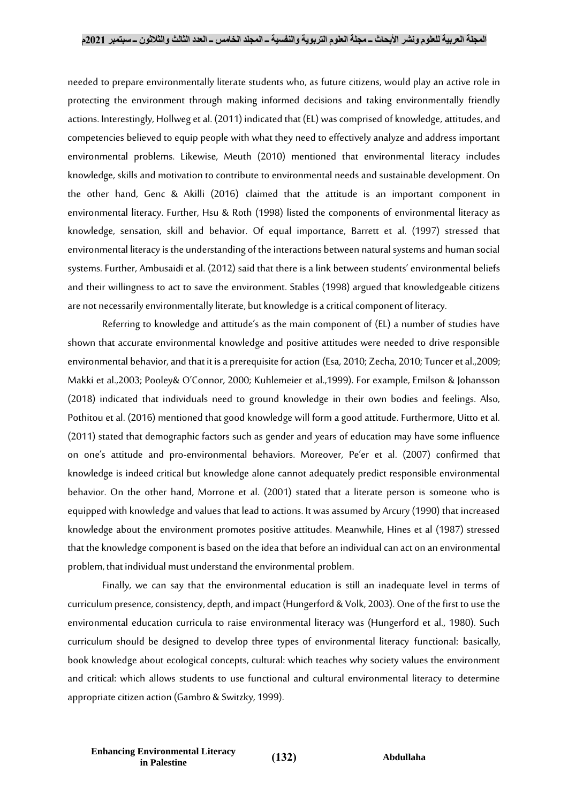needed to prepare environmentally literate students who, as future citizens, would play an active role in protecting the environment through making informed decisions and taking environmentally friendly actions. Interestingly, Hollweg et al. (2011) indicated that (EL) was comprised of knowledge, attitudes, and competencies believed to equip people with what they need to effectively analyze and address important environmental problems. Likewise, Meuth (2010) mentioned that environmental literacy includes knowledge, skills and motivation to contribute to environmental needs and sustainable development. On the other hand, Genc & Akilli (2016) claimed that the attitude is an important component in environmental literacy. Further, Hsu & Roth (1998) listed the components of environmental literacy as knowledge, sensation, skill and behavior. Of equal importance, Barrett et al. (1997) stressed that environmental literacy is the understanding of the interactions between natural systems and human social systems. Further, Ambusaidi et al. (2012) said that there is a link between students' environmental beliefs and their willingness to act to save the environment. Stables (1998) argued that knowledgeable citizens are not necessarily environmentally literate, but knowledge is a critical component of literacy.

Referring to knowledge and attitude's as the main component of (EL) a number of studies have shown that accurate environmental knowledge and positive attitudes were needed to drive responsible environmental behavior, and that it is a prerequisite for action (Esa, 2010; Zecha, 2010; Tuncer et al.,2009; Makki et al.,2003; Pooley& O'Connor, 2000; Kuhlemeier et al.,1999). For example, Emilson & Johansson (2018) indicated that individuals need to ground knowledge in their own bodies and feelings. Also, Pothitou et al. (2016) mentioned that good knowledge will form a good attitude. Furthermore, Uitto et al. (2011) stated that demographic factors such as gender and years of education may have some influence on one's attitude and pro-environmental behaviors. Moreover, Pe'er et al. (2007) confirmed that knowledge is indeed critical but knowledge alone cannot adequately predict responsible environmental behavior. On the other hand, Morrone et al. (2001) stated that a literate person is someone who is equipped with knowledge and values that lead to actions. It was assumed by Arcury (1990) that increased knowledge about the environment promotes positive attitudes. Meanwhile, Hines et al (1987) stressed that the knowledge component is based on the idea that before an individual can act on an environmental problem, that individual must understand the environmental problem.

Finally, we can say that the environmental education is still an inadequate level in terms of curriculum presence, consistency, depth, and impact (Hungerford & Volk, 2003). One of the first to use the environmental education curricula to raise environmental literacy was (Hungerford et al., 1980). Such curriculum should be designed to develop three types of environmental literacy functional: basically, book knowledge about ecological concepts, cultural: which teaches why society values the environment and critical: which allows students to use functional and cultural environmental literacy to determine appropriate citizen action (Gambro & Switzky, 1999).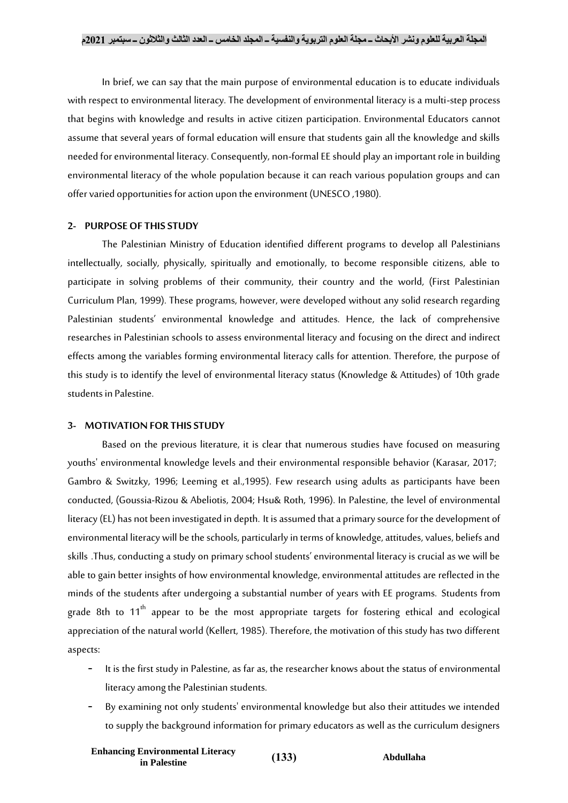In brief, we can say that the main purpose of environmental education is to educate individuals with respect to environmental literacy. The development of environmental literacy is a multi-step process that begins with knowledge and results in active citizen participation. Environmental Educators cannot assume that several years of formal education will ensure that students gain all the knowledge and skills needed for environmental literacy. Consequently, non-formal EE should play an important role in building environmental literacy of the whole population because it can reach various population groups and can offer varied opportunities for action upon the environment (UNESCO ,1980).

#### **2- PURPOSE OF THIS STUDY**

The Palestinian Ministry of Education identified different programs to develop all Palestinians intellectually, socially, physically, spiritually and emotionally, to become responsible citizens, able to participate in solving problems of their community, their country and the world, (First Palestinian Curriculum Plan, 1999). These programs, however, were developed without any solid research regarding Palestinian students' environmental knowledge and attitudes. Hence, the lack of comprehensive researches in Palestinian schools to assess environmental literacy and focusing on the direct and indirect effects among the variables forming environmental literacy calls for attention. Therefore, the purpose of this study is to identify the level of environmental literacy status (Knowledge & Attitudes) of 10th grade students in Palestine.

#### **3- MOTIVATION FOR THIS STUDY**

Based on the previous literature, it is clear that numerous studies have focused on measuring youths' environmental knowledge levels and their environmental responsible behavior (Karasar, 2017; Gambro & Switzky, 1996; Leeming et al.,1995). Few research using adults as participants have been conducted, (Goussia-Rizou & Abeliotis, 2004; Hsu& Roth, 1996). In Palestine, the level of environmental literacy (EL) has not been investigated in depth. It is assumed that a primary source for the development of environmental literacy will be the schools, particularly in terms of knowledge, attitudes, values, beliefs and skills .Thus, conducting a study on primary school students' environmental literacy is crucial as we will be able to gain better insights of how environmental knowledge, environmental attitudes are reflected in the minds of the students after undergoing a substantial number of years with EE programs. Students from grade 8th to 11<sup>th</sup> appear to be the most appropriate targets for fostering ethical and ecological appreciation of the natural world (Kellert, 1985). Therefore, the motivation of this study has two different aspects:

- It is the first study in Palestine, as far as, the researcher knows about the status of environmental literacy among the Palestinian students.
- By examining not only students' environmental knowledge but also their attitudes we intended to supply the background information for primary educators as well as the curriculum designers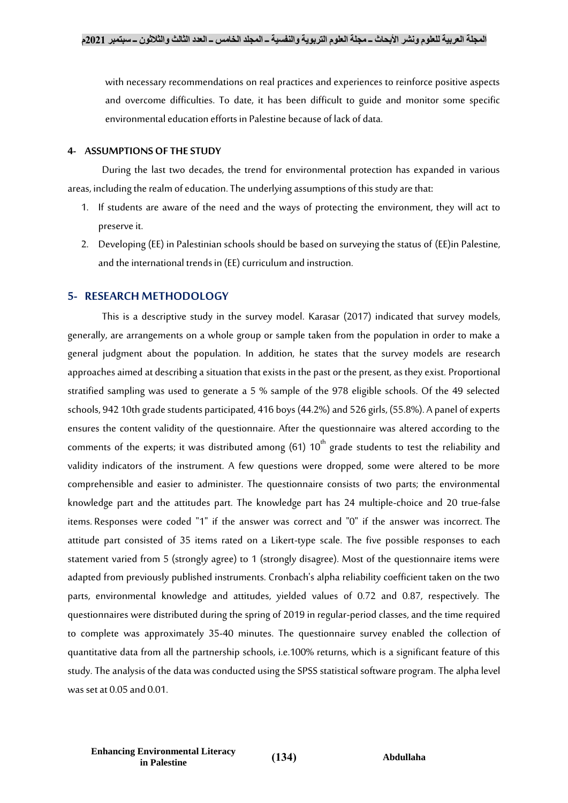with necessary recommendations on real practices and experiences to reinforce positive aspects and overcome difficulties. To date, it has been difficult to guide and monitor some specific environmental education efforts in Palestine because of lack of data.

#### **4- ASSUMPTIONS OF THE STUDY**

During the last two decades, the trend for environmental protection has expanded in various areas, including the realm of education. The underlying assumptions of this study are that:

- 1. If students are aware of the need and the ways of protecting the environment, they will act to preserve it.
- 2. Developing (EE) in Palestinian schools should be based on surveying the status of (EE)in Palestine, and the international trends in (EE) curriculum and instruction.

#### **5- RESEARCH METHODOLOGY**

This is a descriptive study in the survey model. Karasar (2017) indicated that survey models, generally, are arrangements on a whole group or sample taken from the population in order to make a general judgment about the population. In addition, he states that the survey models are research approaches aimed at describing a situation that exists in the past or the present, as they exist. Proportional stratified sampling was used to generate a 5 % sample of the 978 eligible schools. Of the 49 selected schools, 942 10th grade students participated, 416 boys (44.2%) and 526 girls, (55.8%). A panel of experts ensures the content validity of the questionnaire. After the questionnaire was altered according to the comments of the experts; it was distributed among (61)  $10^{th}$  grade students to test the reliability and validity indicators of the instrument. A few questions were dropped, some were altered to be more comprehensible and easier to administer. The questionnaire consists of two parts; the environmental knowledge part and the attitudes part. The knowledge part has 24 multiple-choice and 20 true-false items. Responses were coded "1" if the answer was correct and "0" if the answer was incorrect.The attitude part consisted of 35 items rated on a Likert-type scale. The five possible responses to each statement varied from 5 (strongly agree) to 1 (strongly disagree). Most of the questionnaire items were adapted from previously published instruments. Cronbach's alpha reliability coefficient taken on the two parts, environmental knowledge and attitudes, yielded values of 0.72 and 0.87, respectively. The questionnaires were distributed during the spring of 2019 in regular-period classes, and the time required to complete was approximately 35-40 minutes. The questionnaire survey enabled the collection of quantitative data from all the partnership schools, i.e.100% returns, which is a significant feature of this study. The analysis of the data was conducted using the SPSS statistical software program. The alpha level was set at 0.05 and 0.01.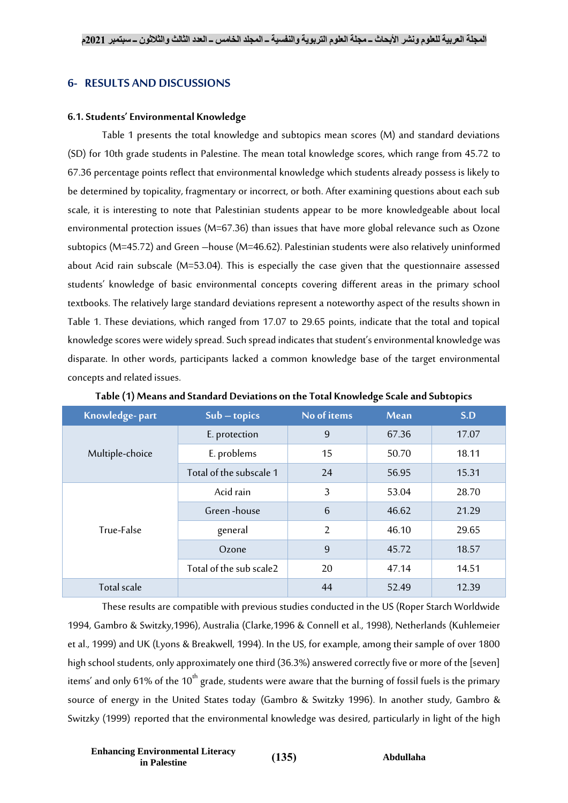# **6- RESULTS AND DISCUSSIONS**

#### **6.1. Students' Environmental Knowledge**

Table 1 presents the total knowledge and subtopics mean scores (M) and standard deviations (SD) for 10th grade students in Palestine. The mean total knowledge scores, which range from 45.72 to 67.36 percentage points reflect that environmental knowledge which students already possess is likely to be determined by topicality, fragmentary or incorrect, or both. After examining questions about each sub scale, it is interesting to note that Palestinian students appear to be more knowledgeable about local environmental protection issues (M=67.36) than issues that have more global relevance such as Ozone subtopics (M=45.72) and Green –house (M=46.62). Palestinian students were also relatively uninformed about Acid rain subscale (M=53.04). This is especially the case given that the questionnaire assessed students' knowledge of basic environmental concepts covering different areas in the primary school textbooks. The relatively large standard deviations represent a noteworthy aspect of the results shown in Table 1. These deviations, which ranged from 17.07 to 29.65 points, indicate that the total and topical knowledge scores were widely spread. Such spread indicates that student's environmental knowledge was disparate. In other words, participants lacked a common knowledge base of the target environmental concepts and related issues.

| Knowledge-part  | $Sub - topics$          | No of items     | <b>Mean</b> | S.D   |
|-----------------|-------------------------|-----------------|-------------|-------|
|                 | E. protection           | 9               | 67.36       | 17.07 |
| Multiple-choice | E. problems             | 15              | 50.70       | 18.11 |
|                 | Total of the subscale 1 | 24              | 56.95       | 15.31 |
| True-False      | Acid rain               | 3               | 53.04       | 28.70 |
|                 | Green-house             | $6\phantom{1}6$ | 46.62       | 21.29 |
|                 | general                 | $\overline{2}$  | 46.10       | 29.65 |
|                 | Ozone                   | 9               | 45.72       | 18.57 |
|                 | Total of the sub scale2 | 20              | 47.14       | 14.51 |
| Total scale     |                         | 44              | 52.49       | 12.39 |

**Table (1) Means and Standard Deviations on the Total Knowledge Scale and Subtopics**

These results are compatible with previous studies conducted in the US (Roper Starch Worldwide 1994, Gambro & Switzky,1996), Australia (Clarke,1996 & Connell et al., 1998), Netherlands (Kuhlemeier et al., 1999) and UK (Lyons & Breakwell, 1994). In the US, for example, among their sample of over 1800 high school students, only approximately one third (36.3%) answered correctly five or more of the [seven] items' and only 61% of the  $10<sup>th</sup>$  grade, students were aware that the burning of fossil fuels is the primary source of energy in the United States today (Gambro & Switzky 1996). In another study, Gambro & Switzky (1999) reported that the environmental knowledge was desired, particularly in light of the high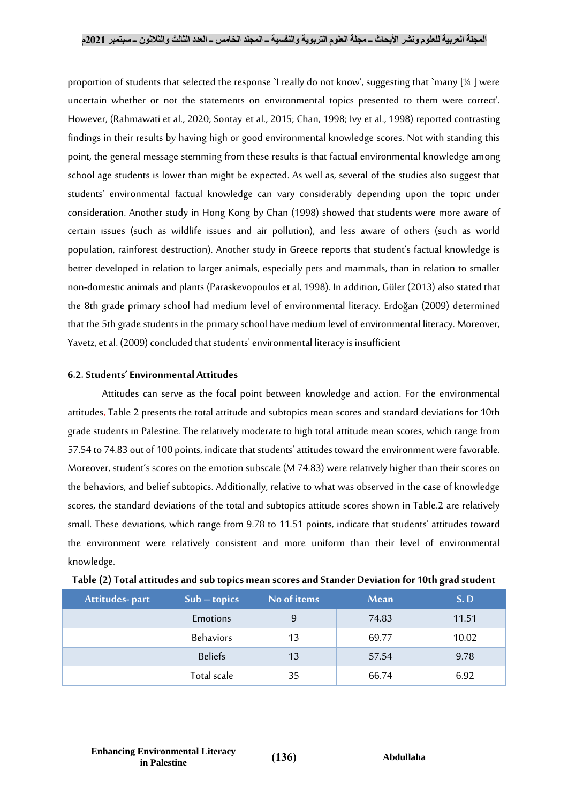proportion of students that selected the response `I really do not know', suggesting that `many [¼ ] were uncertain whether or not the statements on environmental topics presented to them were correct'. However, (Rahmawati et al., 2020; Sontay et al., 2015; Chan, 1998; Ivy et al., 1998) reported contrasting findings in their results by having high or good environmental knowledge scores. Not with standing this point, the general message stemming from these results is that factual environmental knowledge among school age students is lower than might be expected. As well as, several of the studies also suggest that students' environmental factual knowledge can vary considerably depending upon the topic under consideration. Another study in Hong Kong by Chan (1998) showed that students were more aware of certain issues (such as wildlife issues and air pollution), and less aware of others (such as world population, rainforest destruction). Another study in Greece reports that student's factual knowledge is better developed in relation to larger animals, especially pets and mammals, than in relation to smaller non-domestic animals and plants (Paraskevopoulos et al, 1998). In addition, Güler (2013) also stated that the 8th grade primary school had medium level of environmental literacy. Erdoğan (2009) determined that the 5th grade students in the primary school have medium level of environmental literacy. Moreover, Yavetz, et al. (2009) concluded that students' environmental literacy is insufficient

# **6.2. Students' Environmental Attitudes**

Attitudes can serve as the focal point between knowledge and action. For the environmental attitudes,Table 2 presents the total attitude and subtopics mean scores and standard deviations for 10th grade students in Palestine. The relatively moderate to high total attitude mean scores, which range from 57.54 to 74.83 out of 100 points, indicate that students' attitudes toward the environment were favorable. Moreover, student's scores on the emotion subscale (M 74.83) were relatively higher than their scores on the behaviors, and belief subtopics. Additionally, relative to what was observed in the case of knowledge scores, the standard deviations of the total and subtopics attitude scores shown in Table.2 are relatively small. These deviations, which range from 9.78 to 11.51 points, indicate that students' attitudes toward the environment were relatively consistent and more uniform than their level of environmental knowledge.

| Attitudes-part | $Sub - topics$   | No of items | Mean  | S.D   |
|----------------|------------------|-------------|-------|-------|
|                | Emotions         | 9           | 74.83 | 11.51 |
|                | <b>Behaviors</b> | 13          | 69.77 | 10.02 |
|                | <b>Beliefs</b>   | 13          | 57.54 | 9.78  |
|                | Total scale      | 35          | 66.74 | 6.92  |

|  | Table (2) Total attitudes and sub topics mean scores and Stander Deviation for 10th grad student |  |  |  |
|--|--------------------------------------------------------------------------------------------------|--|--|--|
|  |                                                                                                  |  |  |  |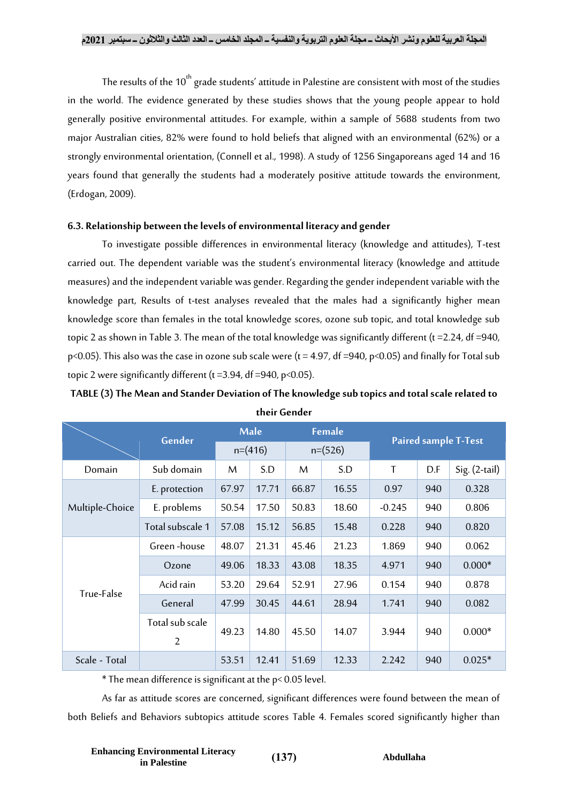The results of the  $10<sup>th</sup>$  grade students' attitude in Palestine are consistent with most of the studies in the world. The evidence generated by these studies shows that the young people appear to hold generally positive environmental attitudes. For example, within a sample of 5688 students from two major Australian cities, 82% were found to hold beliefs that aligned with an environmental (62%) or a strongly environmental orientation, (Connell et al., 1998). A study of 1256 Singaporeans aged 14 and 16 years found that generally the students had a moderately positive attitude towards the environment, (Erdogan, 2009).

# **6.3. Relationship between the levels of environmental literacy and gender**

To investigate possible differences in environmental literacy (knowledge and attitudes), T-test carried out. The dependent variable was the student's environmental literacy (knowledge and attitude measures) and the independent variable was gender. Regarding the gender independent variable with the knowledge part, Results of t-test analyses revealed that the males had a significantly higher mean knowledge score than females in the total knowledge scores, ozone sub topic, and total knowledge sub topic 2 as shown in Table 3. The mean of the total knowledge was significantly different (t =2.24, df =940, p<0.05). This also was the case in ozone sub scale were ( $t = 4.97$ , df =940, p<0.05) and finally for Total sub topic 2 were significantly different ( $t = 3.94$ , df = 940, p < 0.05).

|                 |                                   | Male      |       | <b>Female</b> |       | <b>Paired sample T-Test</b> |     |                 |
|-----------------|-----------------------------------|-----------|-------|---------------|-------|-----------------------------|-----|-----------------|
|                 | Gender                            | $n=(416)$ |       | $n=(526)$     |       |                             |     |                 |
| Domain          | Sub domain                        | M         | S.D   | M             | S.D   | T                           | D.F | $Sig. (2-tail)$ |
|                 | E. protection                     | 67.97     | 17.71 | 66.87         | 16.55 | 0.97                        | 940 | 0.328           |
| Multiple-Choice | E. problems                       | 50.54     | 17.50 | 50.83         | 18.60 | $-0.245$                    | 940 | 0.806           |
|                 | Total subscale 1                  | 57.08     | 15.12 | 56.85         | 15.48 | 0.228                       | 940 | 0.820           |
| True-False      | Green-house                       | 48.07     | 21.31 | 45.46         | 21.23 | 1.869                       | 940 | 0.062           |
|                 | Ozone                             | 49.06     | 18.33 | 43.08         | 18.35 | 4.971                       | 940 | $0.000*$        |
|                 | Acid rain                         | 53.20     | 29.64 | 52.91         | 27.96 | 0.154                       | 940 | 0.878           |
|                 | General                           | 47.99     | 30.45 | 44.61         | 28.94 | 1.741                       | 940 | 0.082           |
|                 | Total sub scale<br>$\overline{2}$ | 49.23     | 14.80 | 45.50         | 14.07 | 3.944                       | 940 | $0.000*$        |
| Scale - Total   |                                   | 53.51     | 12.41 | 51.69         | 12.33 | 2.242                       | 940 | $0.025*$        |

**TABLE (3) The Mean and Stander Deviation of The knowledge sub topics and total scale related to their Gender**

\* The mean difference is significant at the p< 0.05 level.

As far as attitude scores are concerned, significant differences were found between the mean of both Beliefs and Behaviors subtopics attitude scores Table 4. Females scored significantly higher than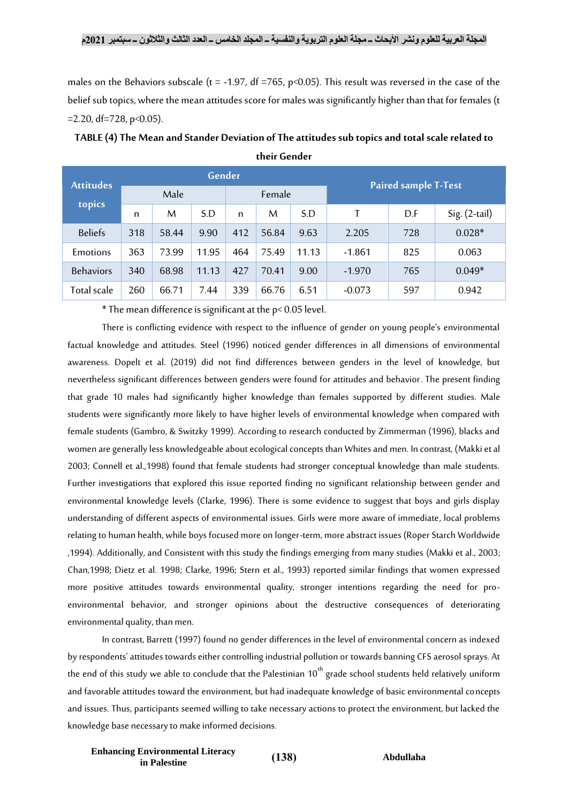males on the Behaviors subscale (t = -1.97, df =765, p<0.05). This result was reversed in the case of the belief sub topics, where the mean attitudes score for males was significantly higher than that for females (t  $=$  2.20, df = 728, p < 0.05).

| <b>Attitudes</b><br>topics | Gender |       |       |        |       |       | <b>Paired sample T-Test</b> |     |                 |
|----------------------------|--------|-------|-------|--------|-------|-------|-----------------------------|-----|-----------------|
|                            | Male   |       |       | Female |       |       |                             |     |                 |
|                            | n      | M     | S.D   | n      | M     | S.D   | т                           | D.F | $Sig. (2-tail)$ |
| <b>Beliefs</b>             | 318    | 58.44 | 9.90  | 412    | 56.84 | 9.63  | 2.205                       | 728 | $0.028*$        |
| Emotions                   | 363    | 73.99 | 11.95 | 464    | 75.49 | 11.13 | $-1.861$                    | 825 | 0.063           |
| <b>Behaviors</b>           | 340    | 68.98 | 11.13 | 427    | 70.41 | 9.00  | $-1.970$                    | 765 | $0.049*$        |
| Total scale                | 260    | 66.71 | 7.44  | 339    | 66.76 | 6.51  | $-0.073$                    | 597 | 0.942           |

**TABLE (4) The Mean and Stander Deviation of The attitudes sub topics and total scale related to their Gender**

\* The mean difference is significant at the p< 0.05 level.

There is conflicting evidence with respect to the influence of gender on young people's environmental factual knowledge and attitudes. Steel (1996) noticed gender differences in all dimensions of environmental awareness. Dopelt et al. (2019) did not find differences between genders in the level of knowledge, but nevertheless significant differences between genders were found for attitudes and behavior. The present finding that grade 10 males had significantly higher knowledge than females supported by different studies. Male students were significantly more likely to have higher levels of environmental knowledge when compared with female students (Gambro, & Switzky 1999). According to research conducted by Zimmerman (1996), blacks and women are generally less knowledgeable about ecological concepts than Whites and men. In contrast, (Makki et al 2003; Connell et al.,1998) found that female students had stronger conceptual knowledge than male students. Further investigations that explored this issue reported finding no significant relationship between gender and environmental knowledge levels (Clarke, 1996). There is some evidence to suggest that boys and girls display understanding of different aspects of environmental issues. Girls were more aware of immediate, local problems relating to human health, while boys focused more on longer-term, more abstract issues (Roper Starch Worldwide ,1994). Additionally, and Consistent with this study the findings emerging from many studies (Makki et al., 2003; Chan,1998; Dietz et al. 1998; Clarke, 1996; Stern et al., 1993) reported similar findings that women expressed more positive attitudes towards environmental quality, stronger intentions regarding the need for proenvironmental behavior, and stronger opinions about the destructive consequences of deteriorating environmental quality, than men.

In contrast, Barrett (1997) found no gender differences in the level of environmental concern as indexed by respondents' attitudes towards either controlling industrial pollution or towards banning CFS aerosol sprays. At the end of this study we able to conclude that the Palestinian  $10<sup>th</sup>$  grade school students held relatively uniform and favorable attitudes toward the environment, but had inadequate knowledge of basic environmental concepts and issues. Thus, participants seemed willing to take necessary actions to protect the environment, but lacked the knowledge base necessary to make informed decisions.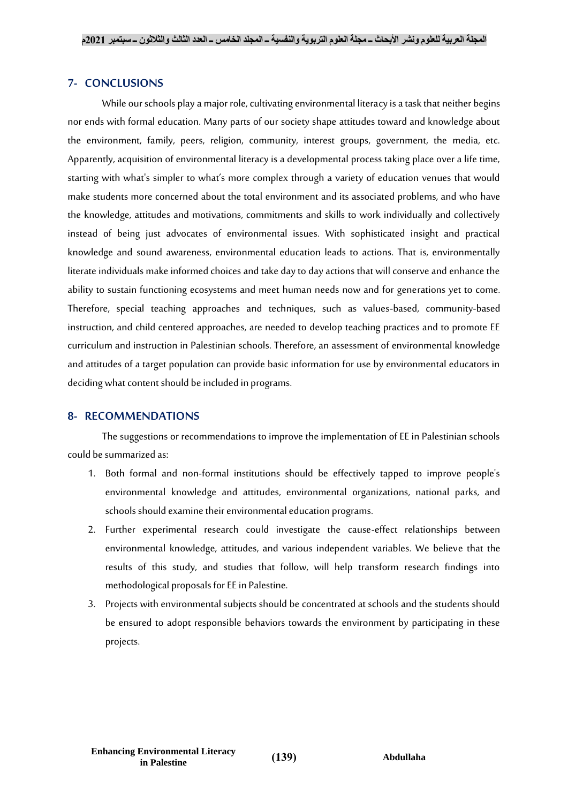### **7- CONCLUSIONS**

While our schools play a major role, cultivating environmental literacy is a task that neither begins nor ends with formal education. Many parts of our society shape attitudes toward and knowledge about the environment, family, peers, religion, community, interest groups, government, the media, etc. Apparently, acquisition of environmental literacy is a developmental process taking place over a life time, starting with what's simpler to what's more complex through a variety of education venues that would make students more concerned about the total environment and its associated problems, and who have the knowledge, attitudes and motivations, commitments and skills to work individually and collectively instead of being just advocates of environmental issues. With sophisticated insight and practical knowledge and sound awareness, environmental education leads to actions. That is, environmentally literate individuals make informed choices and take day to day actions that will conserve and enhance the ability to sustain functioning ecosystems and meet human needs now and for generations yet to come. Therefore, special teaching approaches and techniques, such as values-based, community-based instruction, and child centered approaches, are needed to develop teaching practices and to promote EE curriculum and instruction in Palestinian schools. Therefore, an assessment of environmental knowledge and attitudes of a target population can provide basic information for use by environmental educators in deciding what content should be included in programs.

# **8- RECOMMENDATIONS**

The suggestions or recommendations to improve the implementation of EE in Palestinian schools could be summarized as:

- 1. Both formal and non-formal institutions should be effectively tapped to improve people's environmental knowledge and attitudes, environmental organizations, national parks, and schools should examine their environmental education programs.
- 2. Further experimental research could investigate the cause-effect relationships between environmental knowledge, attitudes, and various independent variables. We believe that the results of this study, and studies that follow, will help transform research findings into methodological proposals for EE in Palestine.
- 3. Projects with environmental subjects should be concentrated at schools and the students should be ensured to adopt responsible behaviors towards the environment by participating in these projects.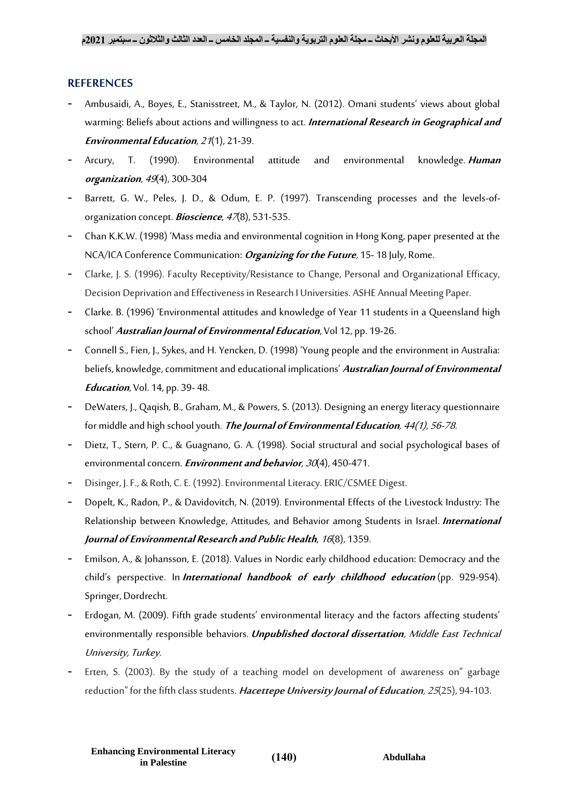# **REFERENCES**

- Ambusaidi, A., Boyes, E., Stanisstreet, M., & Taylor, N. (2012). Omani students' views about global warming: Beliefs about actions and willingness to act. **International Research in Geographical and Environmental Education**, <sup>21</sup>(1), 21-39.
- Arcury, T. (1990). Environmental attitude and environmental knowledge. **Human organization**, <sup>49</sup>(4), 300-304
- Barrett, G. W., Peles, J. D., & Odum, E. P. (1997). Transcending processes and the levels-oforganization concept. **Bioscience**, <sup>47</sup>(8), 531-535.
- Chan K.K.W. (1998) 'Mass media and environmental cognition in Hong Kong, paper presented at the NCA/ICA Conference Communication: **Organizing for the Future**, 15- 18 July, Rome.
- Clarke, J. S. (1996). Faculty Receptivity/Resistance to Change, Personal and Organizational Efficacy, Decision Deprivation and Effectiveness in Research I Universities. ASHE Annual Meeting Paper.
- Clarke. B. (1996) 'Environmental attitudes and knowledge of Year 11 students in a Queensland high school' **Australian Journal of Environmental Education**, Vol 12, pp. 19-26.
- Connell S., Fien, J., Sykes, and H. Yencken, D. (1998) 'Young people and the environment in Australia: beliefs, knowledge, commitment and educational implications' **Australian Journal of Environmental Education**, Vol. 14, pp. 39- 48.
- DeWaters, J., Qaqish, B., Graham, M., & Powers, S. (2013). Designing an energy literacy questionnaire for middle and high school youth. **The Journal of Environmental Education**, 44(1), 56-78.
- Dietz, T., Stern, P. C., & Guagnano, G. A. (1998). Social structural and social psychological bases of environmental concern.**Environment and behavior**, <sup>30</sup>(4), 450-471.
- Disinger, J. F., & Roth, C. E. (1992). Environmental Literacy. ERIC/CSMEE Digest.
- Dopelt, K., Radon, P., & Davidovitch, N. (2019). Environmental Effects of the Livestock Industry: The Relationship between Knowledge, Attitudes, and Behavior among Students in Israel. **International Journal of Environmental Research and Public Health**, <sup>16</sup>(8), 1359.
- Emilson, A., & Johansson, E. (2018). Values in Nordic early childhood education: Democracy and the child's perspective. In **International handbook of early childhood education** (pp. 929-954). Springer, Dordrecht.
- Erdogan, M. (2009). Fifth grade students' environmental literacy and the factors affecting students' environmentally responsible behaviors. **Unpublished doctoral dissertation**, Middle East Technical University, Turkey.
- Erten, S. (2003). By the study of a teaching model on development of awareness on" garbage reduction" for the fifth class students. **Hacettepe University Journal of Education**, <sup>25</sup>(25), 94-103.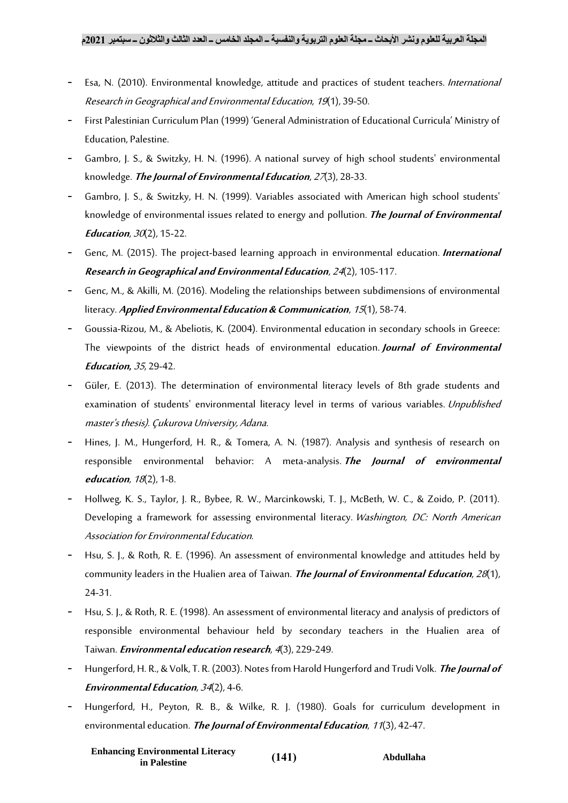- Esa, N. (2010). Environmental knowledge, attitude and practices of student teachers. International Research in Geographical and Environmental Education, <sup>19</sup>(1), 39-50.
- First Palestinian Curriculum Plan (1999) 'General Administration of Educational Curricula' Ministry of Education, Palestine.
- Gambro, J. S., & Switzky, H. N. (1996). A national survey of high school students' environmental knowledge. **The Journal of Environmental Education**, <sup>27</sup>(3), 28-33.
- Gambro, J. S., & Switzky, H. N. (1999). Variables associated with American high school students' knowledge of environmental issues related to energy and pollution. **The Journal of Environmental**  *Education, 30***(2), 15-22.**
- Genc, M. (2015). The project-based learning approach in environmental education. **International Research in Geographical and Environmental Education**, <sup>24</sup>(2), 105-117.
- Genc, M., & Akilli, M. (2016). Modeling the relationships between subdimensions of environmental literacy. **Applied Environmental Education & Communication**, <sup>15</sup>(1), 58-74.
- Goussia-Rizou, M., & Abeliotis, K. (2004). Environmental education in secondary schools in Greece: The viewpoints of the district heads of environmental education. **Journal of Environmental Education,** <sup>35</sup>, 29-42.
- Güler, E. (2013). The determination of environmental literacy levels of 8th grade students and examination of students' environmental literacy level in terms of various variables. Unpublished master's thesis). Çukurova University, Adana.
- Hines, J. M., Hungerford, H. R., & Tomera, A. N. (1987). Analysis and synthesis of research on responsible environmental behavior: A meta-analysis. **The Journal of environmental education**, <sup>18</sup>(2), 1-8.
- Hollweg, K. S., Taylor, J. R., Bybee, R. W., Marcinkowski, T. J., McBeth, W. C., & Zoido, P. (2011). Developing a framework for assessing environmental literacy. Washington, DC: North American Association for Environmental Education.
- Hsu, S. J., & Roth, R. E. (1996). An assessment of environmental knowledge and attitudes held by community leaders in the Hualien area of Taiwan. **The Journal of Environmental Education**, <sup>28</sup>(1), 24-31.
- Hsu, S. J., & Roth, R. E. (1998). An assessment of environmental literacy and analysis of predictors of responsible environmental behaviour held by secondary teachers in the Hualien area of Taiwan.**Environmental education research**, <sup>4</sup>(3), 229-249.
- Hungerford, H. R., & Volk, T. R. (2003). Notes from Harold Hungerford and Trudi Volk. **The Journal of Environmental Education**, <sup>34</sup>(2), 4-6.
- Hungerford, H., Peyton, R. B., & Wilke, R. J. (1980). Goals for curriculum development in environmental education. **The Journal of Environmental Education**, <sup>11</sup>(3), 42-47.

**Enhancing Environmental Literacy in Palestine )141( Abdullaha**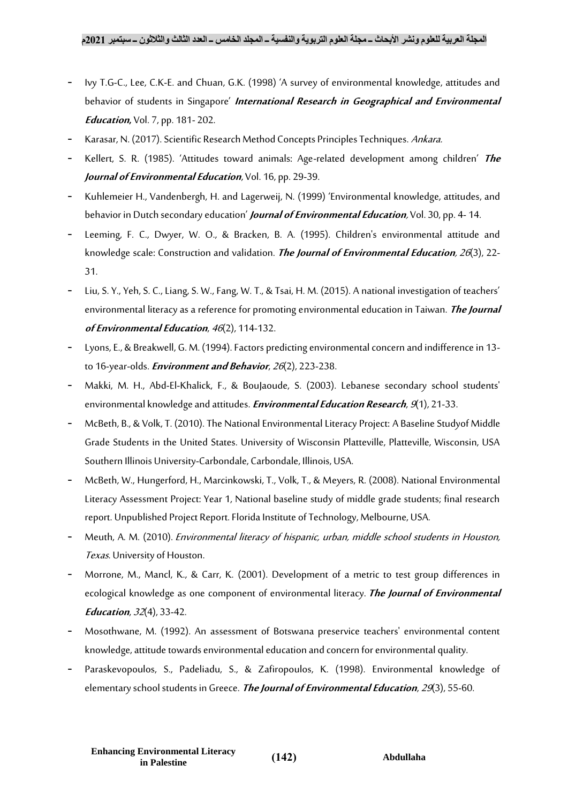- Ivy T.G-C., Lee, C.K-E. and Chuan, G.K. (1998) 'A survey of environmental knowledge, attitudes and behavior of students in Singapore' **International Research in Geographical and Environmental Education,** Vol. 7, pp. 181- 202.
- Karasar, N. (2017). Scientific Research Method Concepts Principles Techniques. Ankara.
- Kellert, S. R. (1985). 'Attitudes toward animals: Age-related development among children' **The Journal of Environmental Education**, Vol. 16, pp. 29-39.
- Kuhlemeier H., Vandenbergh, H. and Lagerweij, N. (1999) 'Environmental knowledge, attitudes, and behavior in Dutch secondary education' **Journal of Environmental Education**, Vol. 30, pp. 4- 14.
- Leeming, F. C., Dwyer, W. O., & Bracken, B. A. (1995). Children's environmental attitude and knowledge scale: Construction and validation. **The Journal of Environmental Education**, <sup>26</sup>(3), 22- 31.
- Liu, S. Y., Yeh, S. C., Liang, S. W., Fang, W. T., & Tsai, H. M. (2015). A national investigation of teachers' environmental literacy as a reference for promoting environmental education in Taiwan. **The Journal of Environmental Education**, <sup>46</sup>(2), 114-132.
- Lyons, E., & Breakwell, G. M. (1994). Factors predicting environmental concern and indifference in 13 to 16-year-olds.**Environment and Behavior**, <sup>26</sup>(2), 223-238.
- Makki, M. H., Abd-El-Khalick, F., & BouJaoude, S. (2003). Lebanese secondary school students' environmental knowledge and attitudes.**Environmental Education Research**, <sup>9</sup>(1), 21-33.
- McBeth, B., & Volk, T. (2010). The National Environmental Literacy Project: A Baseline Studyof Middle Grade Students in the United States. University of Wisconsin Platteville, Platteville, Wisconsin, USA Southern Illinois University-Carbondale, Carbondale, Illinois, USA.
- McBeth, W., Hungerford, H., Marcinkowski, T., Volk, T., & Meyers, R. (2008). National Environmental Literacy Assessment Project: Year 1, National baseline study of middle grade students; final research report. Unpublished Project Report. Florida Institute of Technology, Melbourne, USA.
- Meuth, A. M. (2010). Environmental literacy of hispanic, urban, middle school students in Houston, Texas. University of Houston.
- Morrone, M., Mancl, K., & Carr, K. (2001). Development of a metric to test group differences in ecological knowledge as one component of environmental literacy. **The Journal of Environmental Education**, <sup>32</sup>(4), 33-42.
- Mosothwane, M. (1992). An assessment of Botswana preservice teachers' environmental content knowledge, attitude towards environmental education and concern for environmental quality.
- Paraskevopoulos, S., Padeliadu, S., & Zafiropoulos, K. (1998). Environmental knowledge of elementary school students in Greece. **The Journal of Environmental Education**, <sup>29</sup>(3), 55-60.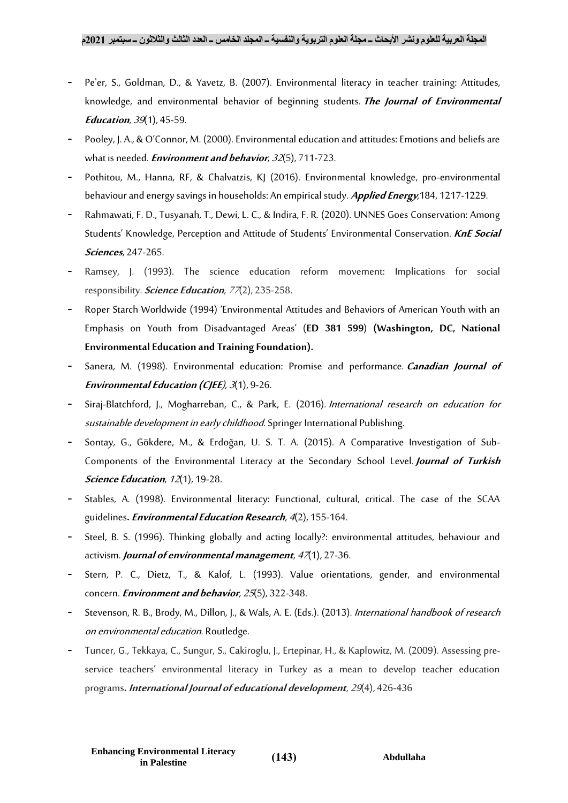- Pe'er, S., Goldman, D., & Yavetz, B. (2007). Environmental literacy in teacher training: Attitudes, knowledge, and environmental behavior of beginning students. **The Journal of Environmental Education**, <sup>39</sup>(1), 45-59.
- Pooley, J. A., & O'Connor, M. (2000). Environmental education and attitudes: Emotions and beliefs are what is needed.**Environment and behavior**, <sup>32</sup>(5), 711-723.
- Pothitou, M., Hanna, RF, & Chalvatzis, KJ (2016). Environmental knowledge, pro-environmental behaviour and energy savings in households: An empirical study. **Applied Energy**,184, 1217-1229.
- Rahmawati, F. D., Tusyanah, T., Dewi, L. C., & Indira, F. R. (2020). UNNES Goes Conservation: Among Students' Knowledge, Perception and Attitude of Students' Environmental Conservation. **KnE Social Sciences**, 247-265.
- Ramsey, J. (1993). The science education reform movement: Implications for social responsibility.**Science Education**, <sup>77</sup>(2), 235-258.
- Roper Starch Worldwide (1994) 'Environmental Attitudes and Behaviors of American Youth with an Emphasis on Youth from Disadvantaged Areas' (**ED 381 599**) **(Washington, DC, National Environmental Education and Training Foundation).**
- Sanera, M. (1998). Environmental education: Promise and performance. **Canadian Journal of Environmental Education (CJEE**), <sup>3</sup>(1), 9-26.
- Siraj-Blatchford, J., Mogharreban, C., & Park, E. (2016). International research on education for sustainable development in early childhood. Springer International Publishing.
- Sontay, G., Gökdere, M., & Erdoğan, U. S. T. A. (2015). A Comparative Investigation of Sub-Components of the Environmental Literacy at the Secondary School Level. **Journal of Turkish Science Education**, <sup>12</sup>(1), 19-28.
- Stables, A. (1998). Environmental literacy: Functional, cultural, critical. The case of the SCAA guidelines**.Environmental Education Research**, <sup>4</sup>(2), 155-164.
- Steel, B. S. (1996). Thinking globally and acting locally?: environmental attitudes, behaviour and activism. **Journal of environmental management**, <sup>47</sup>(1), 27-36.
- Stern, P. C., Dietz, T., & Kalof, L. (1993). Value orientations, gender, and environmental concern.**Environment and behavior**, <sup>25</sup>(5), 322-348.
- Stevenson, R. B., Brody, M., Dillon, J., & Wals, A. E. (Eds.). (2013). International handbook of research on environmental education. Routledge.
- Tuncer, G., Tekkaya, C., Sungur, S., Cakiroglu, J., Ertepinar, H., & Kaplowitz, M. (2009). Assessing preservice teachers' environmental literacy in Turkey as a mean to develop teacher education programs**. International Journal of educational development**, <sup>29</sup>(4), 426-436